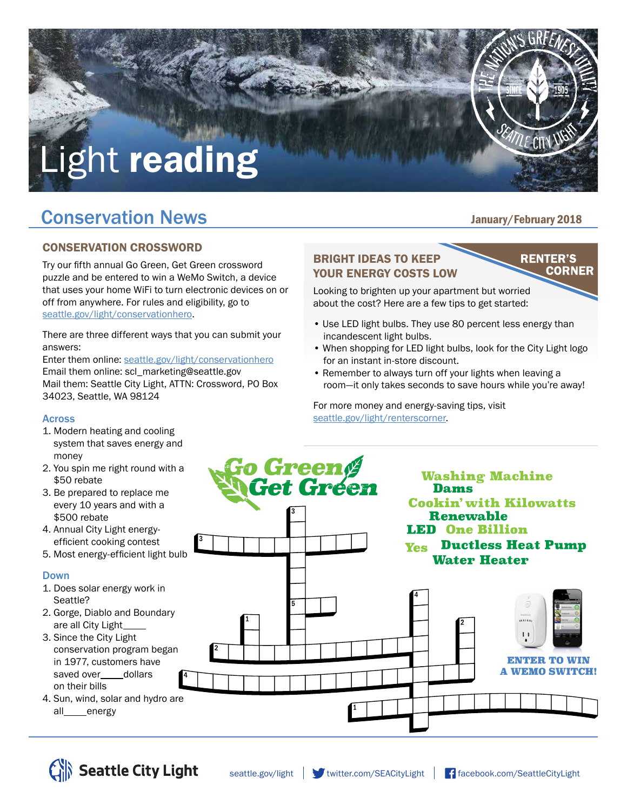# Light reading

## **Conservation News Conservation News**

#### CONSERVATION CROSSWORD

Try our fifth annual Go Green, Get Green crossword puzzle and be entered to win a WeMo Switch, a device that uses your home WiFi to turn electronic devices on or off from anywhere. For rules and eligibility, go to seattle.gov/light/conservationhero.

There are three different ways that you can submit your answers:

Enter them online: seattle.gov/light/conservationhero Email them online: scl\_marketing@seattle.gov Mail them: Seattle City Light, ATTN: Crossword, PO Box 34023, Seattle, WA 98124

#### BRIGHT IDEAS TO KEEP YOUR ENERGY COSTS LOW

Looking to brighten up your apartment but worried about the cost? Here are a few tips to get started:

- Use LED light bulbs. They use 80 percent less energy than incandescent light bulbs.
- When shopping for LED light bulbs, look for the City Light logo for an instant in-store discount.
- Remember to always turn off your lights when leaving a room—it only takes seconds to save hours while you're away!

For more money and energy-saving tips, visit seattle.gov/light/renterscorner.

### Across

- 1. Modern heating and cooling system that saves energy and money
- 2. You spin me right round with a \$50 rebate
- 3. Be prepared to replace me every 10 years and with a \$500 rebate
- 4. Annual City Light energyefficient cooking contest
- 5. Most energy-efficient light bulb

#### Down

- 1. Does solar energy work in Seattle?
- 2. Gorge, Diablo and Boundary are all City Light
- 3. Since the City Light conservation program began in 1977, customers have saved over\_\_\_\_dollars on their bills
- 4. Sun, wind, solar and hydro are all\_\_\_energy





Green





**RENTER'S** 

**CORNER**